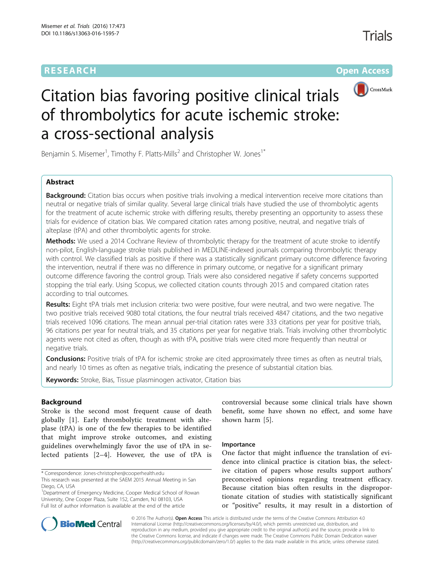# **RESEARCH CHINESE ARCH CHINESE ARCHITECT ARCHITECT ARCHITECT ARCHITECT ARCHITECT ARCHITECT ARCHITECT ARCHITECT ARCHITECT ARCHITECT ARCHITECT ARCHITECT ARCHITECT ARCHITECT ARCHITECT ARCHITECT ARCHITECT ARCHITECT ARCHITE**



# Citation bias favoring positive clinical trials of thrombolytics for acute ischemic stroke: a cross-sectional analysis

Benjamin S. Misemer<sup>1</sup>, Timothy F. Platts-Mills<sup>2</sup> and Christopher W. Jones<sup>1\*</sup>

# Abstract

**Background:** Citation bias occurs when positive trials involving a medical intervention receive more citations than neutral or negative trials of similar quality. Several large clinical trials have studied the use of thrombolytic agents for the treatment of acute ischemic stroke with differing results, thereby presenting an opportunity to assess these trials for evidence of citation bias. We compared citation rates among positive, neutral, and negative trials of alteplase (tPA) and other thrombolytic agents for stroke.

Methods: We used a 2014 Cochrane Review of thrombolytic therapy for the treatment of acute stroke to identify non-pilot, English-language stroke trials published in MEDLINE-indexed journals comparing thrombolytic therapy with control. We classified trials as positive if there was a statistically significant primary outcome difference favoring the intervention, neutral if there was no difference in primary outcome, or negative for a significant primary outcome difference favoring the control group. Trials were also considered negative if safety concerns supported stopping the trial early. Using Scopus, we collected citation counts through 2015 and compared citation rates according to trial outcomes.

Results: Eight tPA trials met inclusion criteria: two were positive, four were neutral, and two were negative. The two positive trials received 9080 total citations, the four neutral trials received 4847 citations, and the two negative trials received 1096 citations. The mean annual per-trial citation rates were 333 citations per year for positive trials, 96 citations per year for neutral trials, and 35 citations per year for negative trials. Trials involving other thrombolytic agents were not cited as often, though as with tPA, positive trials were cited more frequently than neutral or negative trials.

**Conclusions:** Positive trials of tPA for ischemic stroke are cited approximately three times as often as neutral trials, and nearly 10 times as often as negative trials, indicating the presence of substantial citation bias.

Keywords: Stroke, Bias, Tissue plasminogen activator, Citation bias

# Background

Stroke is the second most frequent cause of death globally [[1\]](#page-5-0). Early thrombolytic treatment with alteplase (tPA) is one of the few therapies to be identified that might improve stroke outcomes, and existing guidelines overwhelmingly favor the use of tPA in selected patients [[2](#page-5-0)–[4\]](#page-5-0). However, the use of tPA is

\* Correspondence: [Jones-christopher@cooperhealth.edu](mailto:Jones-christopher@cooperhealth.edu)

<sup>1</sup>Department of Emergency Medicine, Cooper Medical School of Rowan University, One Cooper Plaza, Suite 152, Camden, NJ 08103, USA Full list of author information is available at the end of the article

controversial because some clinical trials have shown benefit, some have shown no effect, and some have shown harm [[5\]](#page-5-0).

# Importance

One factor that might influence the translation of evidence into clinical practice is citation bias, the selective citation of papers whose results support authors' preconceived opinions regarding treatment efficacy. Because citation bias often results in the disproportionate citation of studies with statistically significant or "positive" results, it may result in a distortion of



© 2016 The Author(s). Open Access This article is distributed under the terms of the Creative Commons Attribution 4.0 International License [\(http://creativecommons.org/licenses/by/4.0/](http://creativecommons.org/licenses/by/4.0/)), which permits unrestricted use, distribution, and reproduction in any medium, provided you give appropriate credit to the original author(s) and the source, provide a link to the Creative Commons license, and indicate if changes were made. The Creative Commons Public Domain Dedication waiver [\(http://creativecommons.org/publicdomain/zero/1.0/](http://creativecommons.org/publicdomain/zero/1.0/)) applies to the data made available in this article, unless otherwise stated.

This research was presented at the SAEM 2015 Annual Meeting in San Diego, CA, USA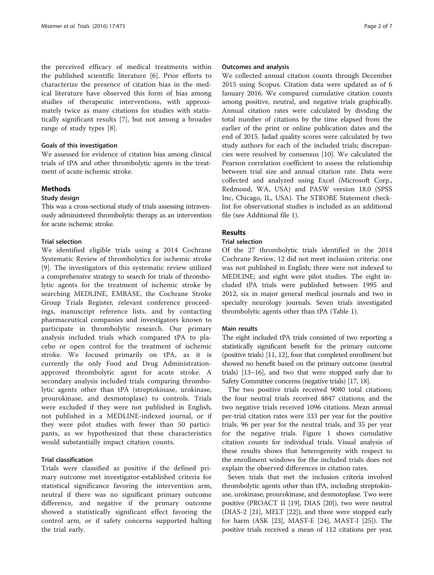the perceived efficacy of medical treatments within the published scientific literature [[6\]](#page-5-0). Prior efforts to characterize the presence of citation bias in the medical literature have observed this form of bias among studies of therapeutic interventions, with approximately twice as many citations for studies with statistically significant results [[7](#page-5-0)], but not among a broader range of study types [[8\]](#page-5-0).

## Goals of this investigation

We assessed for evidence of citation bias among clinical trials of tPA and other thrombolytic agents in the treatment of acute ischemic stroke.

# Methods

# Study design

This was a cross-sectional study of trials assessing intravenously administered thrombolytic therapy as an intervention for acute ischemic stroke.

# Trial selection

We identified eligible trials using a 2014 Cochrane Systematic Review of thrombolytics for ischemic stroke [[9\]](#page-5-0). The investigators of this systematic review utilized a comprehensive strategy to search for trials of thrombolytic agents for the treatment of ischemic stroke by searching MEDLINE, EMBASE, the Cochrane Stroke Group Trials Register, relevant conference proceedings, manuscript reference lists, and by contacting pharmaceutical companies and investigators known to participate in thrombolytic research. Our primary analysis included trials which compared tPA to placebo or open control for the treatment of ischemic stroke. We focused primarily on tPA, as it is currently the only Food and Drug Administrationapproved thrombolytic agent for acute stroke. A secondary analysis included trials comparing thrombolytic agents other than tPA (streptokinase, urokinase, prourokinase, and desmotoplase) to controls. Trials were excluded if they were not published in English, not published in a MEDLINE-indexed journal, or if they were pilot studies with fewer than 50 participants, as we hypothesized that these characteristics would substantially impact citation counts.

#### Trial classification

Trials were classified as positive if the defined primary outcome met investigator-established criteria for statistical significance favoring the intervention arm, neutral if there was no significant primary outcome difference, and negative if the primary outcome showed a statistically significant effect favoring the control arm, or if safety concerns supported halting the trial early.

#### Outcomes and analysis

We collected annual citation counts through December 2015 using Scopus. Citation data were updated as of 6 January 2016. We compared cumulative citation counts among positive, neutral, and negative trials graphically. Annual citation rates were calculated by dividing the total number of citations by the time elapsed from the earlier of the print or online publication dates and the end of 2015. Jadad quality scores were calculated by two study authors for each of the included trials; discrepancies were resolved by consensus [[10\]](#page-5-0). We calculated the Pearson correlation coefficient to assess the relationship between trial size and annual citation rate. Data were collected and analyzed using Excel (Microsoft Corp., Redmond, WA, USA) and PASW version 18.0 (SPSS Inc, Chicago, IL, USA). The STROBE Statement checklist for observational studies is included as an additional file (see Additional file [1](#page-5-0)).

# Results

# Trial selection

Of the 27 thrombolytic trials identified in the 2014 Cochrane Review, 12 did not meet inclusion criteria: one was not published in English; three were not indexed to MEDLINE; and eight were pilot studies. The eight included tPA trials were published between 1995 and 2012, six in major general medical journals and two in specialty neurology journals. Seven trials investigated thrombolytic agents other than tPA (Table [1](#page-2-0)).

## Main results

The eight included tPA trials consisted of two reporting a statistically significant benefit for the primary outcome (positive trials) [\[11](#page-5-0), [12](#page-5-0)], four that completed enrollment but showed no benefit based on the primary outcome (neutral trials) [[13](#page-5-0)–[16](#page-6-0)], and two that were stopped early due to Safety Committee concerns (negative trials) [\[17, 18\]](#page-6-0).

The two positive trials received 9080 total citations; the four neutral trials received 4847 citations; and the two negative trials received 1096 citations. Mean annual per-trial citation rates were 333 per year for the positive trials, 96 per year for the neutral trials, and 35 per year for the negative trials. Figure [1](#page-3-0) shows cumulative citation counts for individual trials. Visual analysis of these results shows that heterogeneity with respect to the enrollment windows for the included trials does not explain the observed differences in citation rates.

Seven trials that met the inclusion criteria involved thrombolytic agents other than tPA, including streptokinase, urokinase, prourokinase, and desmotoplase. Two were positive (PROACT II [[19](#page-6-0)], DIAS [[20](#page-6-0)]), two were neutral (DIAS-2 [\[21](#page-6-0)], MELT [[22](#page-6-0)]), and three were stopped early for harm (ASK [[23\]](#page-6-0), MAST-E [\[24\]](#page-6-0), MAST-I [\[25\]](#page-6-0)). The positive trials received a mean of 112 citations per year,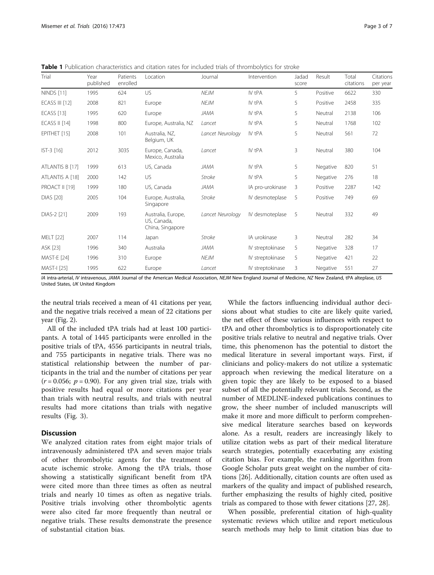<span id="page-2-0"></span>Table 1 Publication characteristics and citation rates for included trials of thrombolytics for stroke

| Trial                 | Year<br>published | Patients<br>enrolled | Location                                              | Journal          | Intervention     | Jadad<br>score | Result   | Total<br>citations | Citations<br>per year |
|-----------------------|-------------------|----------------------|-------------------------------------------------------|------------------|------------------|----------------|----------|--------------------|-----------------------|
| <b>NINDS</b> [11]     | 1995              | 624                  | US.                                                   | <b>NEJM</b>      | IV tPA           | 5              | Positive | 6622               | 330                   |
| <b>ECASS III [12]</b> | 2008              | 821                  | Europe                                                | <b>NEJM</b>      | IV tPA           | 5              | Positive | 2458               | 335                   |
| <b>ECASS</b> [13]     | 1995              | 620                  | Europe                                                | <b>JAMA</b>      | IV tPA           | 5              | Neutral  | 2138               | 106                   |
| <b>ECASS II [14]</b>  | 1998              | 800                  | Europe, Australia, NZ                                 | Lancet           | IV tPA           | 5              | Neutral  | 1768               | 102                   |
| EPITHET [15]          | 2008              | 101                  | Australia. NZ.<br>Belgium, UK                         | Lancet Neurology | IV tPA           | 5              | Neutral  | 561                | 72                    |
| $IST-3$ [16]          | 2012              | 3035                 | Europe, Canada,<br>Mexico, Australia                  | Lancet           | IV tPA           | 3              | Neutral  | 380                | 104                   |
| ATLANTIS B [17]       | 1999              | 613                  | US, Canada                                            | JAMA             | IV tPA           | 5              | Negative | 820                | 51                    |
| ATLANTIS A [18]       | 2000              | 142                  | US                                                    | <b>Stroke</b>    | IV tPA           | 5              | Negative | 276                | 18                    |
| PROACT II [19]        | 1999              | 180                  | US, Canada                                            | <b>JAMA</b>      | IA pro-urokinase | 3              | Positive | 2287               | 142                   |
| <b>DIAS</b> [20]      | 2005              | 104                  | Europe, Australia,<br>Singapore                       | Stroke           | IV desmoteplase  | 5              | Positive | 749                | 69                    |
| DIAS-2 [21]           | 2009              | 193                  | Australia, Europe,<br>US, Canada,<br>China, Singapore | Lancet Neurology | IV desmoteplase  | 5              | Neutral  | 332                | 49                    |
| <b>MELT</b> [22]      | 2007              | 114                  | Japan                                                 | Stroke           | IA urokinase     | 3              | Neutral  | 282                | 34                    |
| ASK [23]              | 1996              | 340                  | Australia                                             | <b>JAMA</b>      | IV streptokinase | 5              | Negative | 328                | 17                    |
| <b>MAST-E [24]</b>    | 1996              | 310                  | Europe                                                | <b>NEJM</b>      | IV streptokinase | 5              | Negative | 421                | 22                    |
| <b>MAST-I [25]</b>    | 1995              | 622                  | Europe                                                | Lancet           | IV streptokinase | 3              | Negative | 551                | 27                    |

IA intra-arterial, IV intravenous, JAMA Journal of the American Medical Association, NEJM New England Journal of Medicine, NZ New Zealand, tPA alteplase, US United States, UK United Kingdom

the neutral trials received a mean of 41 citations per year, and the negative trials received a mean of 22 citations per year (Fig. [2\)](#page-4-0).

All of the included tPA trials had at least 100 participants. A total of 1445 participants were enrolled in the positive trials of tPA, 4556 participants in neutral trials, and 755 participants in negative trials. There was no statistical relationship between the number of participants in the trial and the number of citations per year  $(r = 0.056; p = 0.90)$ . For any given trial size, trials with positive results had equal or more citations per year than trials with neutral results, and trials with neutral results had more citations than trials with negative results (Fig. [3](#page-5-0)).

# **Discussion**

We analyzed citation rates from eight major trials of intravenously administered tPA and seven major trials of other thrombolytic agents for the treatment of acute ischemic stroke. Among the tPA trials, those showing a statistically significant benefit from tPA were cited more than three times as often as neutral trials and nearly 10 times as often as negative trials. Positive trials involving other thrombolytic agents were also cited far more frequently than neutral or negative trials. These results demonstrate the presence of substantial citation bias.

While the factors influencing individual author decisions about what studies to cite are likely quite varied, the net effect of these various influences with respect to tPA and other thrombolytics is to disproportionately cite positive trials relative to neutral and negative trials. Over time, this phenomenon has the potential to distort the medical literature in several important ways. First, if clinicians and policy-makers do not utilize a systematic approach when reviewing the medical literature on a given topic they are likely to be exposed to a biased subset of all the potentially relevant trials. Second, as the number of MEDLINE-indexed publications continues to grow, the sheer number of included manuscripts will make it more and more difficult to perform comprehensive medical literature searches based on keywords alone. As a result, readers are increasingly likely to utilize citation webs as part of their medical literature search strategies, potentially exacerbating any existing citation bias. For example, the ranking algorithm from Google Scholar puts great weight on the number of citations [\[26\]](#page-6-0). Additionally, citation counts are often used as markers of the quality and impact of published research, further emphasizing the results of highly cited, positive trials as compared to those with fewer citations [\[27, 28\]](#page-6-0).

When possible, preferential citation of high-quality systematic reviews which utilize and report meticulous search methods may help to limit citation bias due to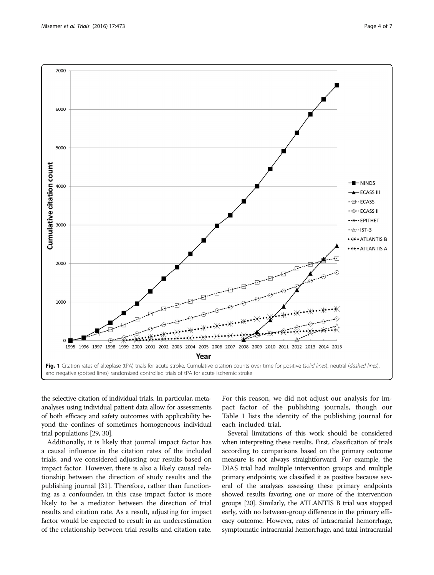<span id="page-3-0"></span>

the selective citation of individual trials. In particular, metaanalyses using individual patient data allow for assessments of both efficacy and safety outcomes with applicability beyond the confines of sometimes homogeneous individual trial populations [\[29, 30\]](#page-6-0).

Additionally, it is likely that journal impact factor has a causal influence in the citation rates of the included trials, and we considered adjusting our results based on impact factor. However, there is also a likely causal relationship between the direction of study results and the publishing journal [\[31](#page-6-0)]. Therefore, rather than functioning as a confounder, in this case impact factor is more likely to be a mediator between the direction of trial results and citation rate. As a result, adjusting for impact factor would be expected to result in an underestimation of the relationship between trial results and citation rate.

For this reason, we did not adjust our analysis for impact factor of the publishing journals, though our Table [1](#page-2-0) lists the identity of the publishing journal for each included trial.

Several limitations of this work should be considered when interpreting these results. First, classification of trials according to comparisons based on the primary outcome measure is not always straightforward. For example, the DIAS trial had multiple intervention groups and multiple primary endpoints; we classified it as positive because several of the analyses assessing these primary endpoints showed results favoring one or more of the intervention groups [\[20](#page-6-0)]. Similarly, the ATLANTIS B trial was stopped early, with no between-group difference in the primary efficacy outcome. However, rates of intracranial hemorrhage, symptomatic intracranial hemorrhage, and fatal intracranial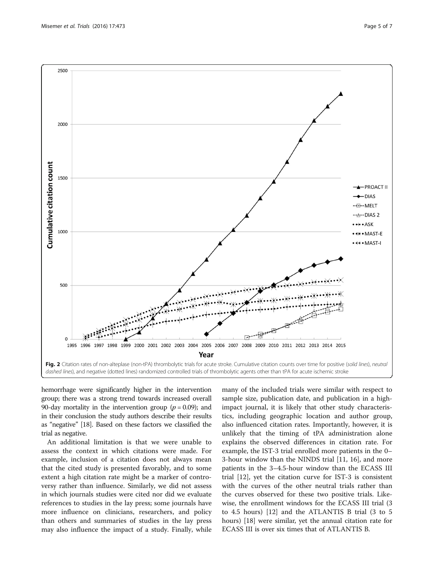<span id="page-4-0"></span>

hemorrhage were significantly higher in the intervention group; there was a strong trend towards increased overall 90-day mortality in the intervention group ( $p = 0.09$ ); and in their conclusion the study authors describe their results as "negative" [[18](#page-6-0)]. Based on these factors we classified the trial as negative.

An additional limitation is that we were unable to assess the context in which citations were made. For example, inclusion of a citation does not always mean that the cited study is presented favorably, and to some extent a high citation rate might be a marker of controversy rather than influence. Similarly, we did not assess in which journals studies were cited nor did we evaluate references to studies in the lay press; some journals have more influence on clinicians, researchers, and policy than others and summaries of studies in the lay press may also influence the impact of a study. Finally, while

many of the included trials were similar with respect to sample size, publication date, and publication in a highimpact journal, it is likely that other study characteristics, including geographic location and author group, also influenced citation rates. Importantly, however, it is unlikely that the timing of tPA administration alone explains the observed differences in citation rate. For example, the IST-3 trial enrolled more patients in the 0– 3-hour window than the NINDS trial [\[11](#page-5-0), [16](#page-6-0)], and more patients in the 3–4.5-hour window than the ECASS III trial [[12](#page-5-0)], yet the citation curve for IST-3 is consistent with the curves of the other neutral trials rather than the curves observed for these two positive trials. Likewise, the enrollment windows for the ECASS III trial (3 to 4.5 hours) [[12](#page-5-0)] and the ATLANTIS B trial (3 to 5 hours) [[18\]](#page-6-0) were similar, yet the annual citation rate for ECASS III is over six times that of ATLANTIS B.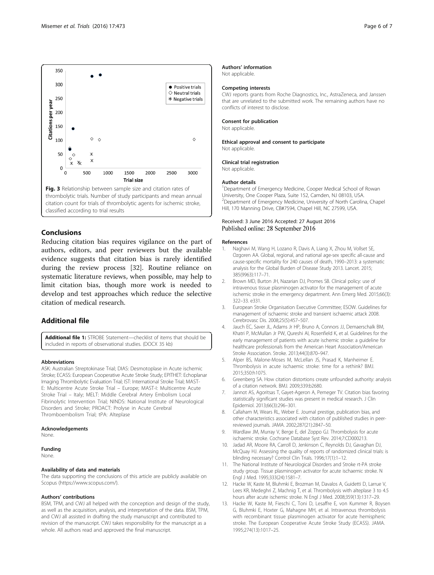<span id="page-5-0"></span>

## Conclusions

Reducing citation bias requires vigilance on the part of authors, editors, and peer reviewers but the available evidence suggests that citation bias is rarely identified during the review process [[32\]](#page-6-0). Routine reliance on systematic literature reviews, when possible, may help to limit citation bias, though more work is needed to develop and test approaches which reduce the selective citation of medical research.

## Additional file

[Additional file 1:](dx.doi.org/10.1186/s13063-016-1595-7) STROBE Statement-checklist of items that should be included in reports of observational studies. (DOCX 35 kb)

#### Abbreviations

ASK: Australian Streptokinase Trial; DIAS: Desmotoplase in Acute ischemic Stroke; ECASS: European Cooperative Acute Stroke Study; EPITHET: Echoplanar Imaging Thrombolytic Evaluation Trial; IST: International Stroke Trial; MAST-E: Multicentre Acute Stroke Trial – Europe; MAST-I: Multicentre Acute Stroke Trial – Italy; MELT: Middle Cerebral Artery Embolism Local Fibrinolytic Intervention Trial; NINDS: National Institute of Neurological Disorders and Stroke; PROACT: Prolyse in Acute Cerebral Thromboembolism Trial; tPA: Alteplase

#### Acknowledgements

None.

#### Funding

None.

#### Availability of data and materials

The data supporting the conclusions of this article are publicly available on Scopus [\(https://www.scopus.com/](https://www.scopus.com/)).

#### Authors' contributions

BSM, TPM, and CWJ all helped with the conception and design of the study, as well as the acquisition, analysis, and interpretation of the data. BSM, TPM, and CWJ all assisted in drafting the study manuscript and contributed to revision of the manuscript. CWJ takes responsibility for the manuscript as a whole. All authors read and approved the final manuscript.

#### Authors' information

Not applicable.

#### Competing interests

CWJ reports grants from Roche Diagnostics, Inc., AstraZeneca, and Janssen that are unrelated to the submitted work. The remaining authors have no conflicts of interest to disclose.

#### Consent for publication

Not applicable.

#### Ethical approval and consent to participate Not applicable.

#### Clinical trial registration

Not applicable.

#### Author details

<sup>1</sup>Department of Emergency Medicine, Cooper Medical School of Rowan University, One Cooper Plaza, Suite 152, Camden, NJ 08103, USA. <sup>2</sup>Department of Emergency Medicine, University of North Carolina, Chapel Hill, 170 Manning Drive, CB#7594, Chapel Hill, NC 27599, USA.

#### Received: 3 June 2016 Accepted: 27 August 2016 Published online: 28 September 2016

#### References

- 1. Naghavi M, Wang H, Lozano R, Davis A, Liang X, Zhou M, Vollset SE, Ozgoren AA. Global, regional, and national age-sex specific all-cause and cause-specific mortality for 240 causes of death, 1990–2013: a systematic analysis for the Global Burden of Disease Study 2013. Lancet. 2015; 385(9963):117–71.
- 2. Brown MD, Burton JH, Nazarian DJ, Promes SB. Clinical policy: use of intravenous tissue plasminogen activator for the management of acute ischemic stroke in the emergency department. Ann Emerg Med. 2015;66(3): 322–33. e331.
- 3. European Stroke Organisation Executive Committee; ESOW. Guidelines for management of ischaemic stroke and transient ischaemic attack 2008. Cerebrovasc Dis. 2008;25(5):457–507.
- 4. Jauch EC, Saver JL, Adams Jr HP, Bruno A, Connors JJ, Demaerschalk BM, Khatri P, McMullan Jr PW, Qureshi AI, Rosenfield K, et al. Guidelines for the early management of patients with acute ischemic stroke: a guideline for healthcare professionals from the American Heart Association/American Stroke Association. Stroke. 2013;44(3):870–947.
- 5. Alper BS, Malone-Moses M, McLellan JS, Prasad K, Manheimer E. Thrombolysis in acute ischaemic stroke: time for a rethink? BMJ. 2015;350:h1075.
- 6. Greenberg SA. How citation distortions create unfounded authority: analysis of a citation network. BMJ. 2009;339:b2680.
- 7. Jannot AS, Agoritsas T, Gayet-Ageron A, Perneger TV. Citation bias favoring statistically significant studies was present in medical research. J Clin Epidemiol. 2013;66(3):296–301.
- 8. Callaham M, Wears RL, Weber E. Journal prestige, publication bias, and other characteristics associated with citation of published studies in peerreviewed journals. JAMA. 2002;287(21):2847–50.
- 9. Wardlaw JM, Murray V, Berge E, del Zoppo GJ. Thrombolysis for acute ischaemic stroke. Cochrane Database Syst Rev. 2014;7:CD000213.
- 10. Jadad AR, Moore RA, Carroll D, Jenkinson C, Reynolds DJ, Gavaghan DJ, McQuay HJ. Assessing the quality of reports of randomized clinical trials: is blinding necessary? Control Clin Trials. 1996;17(1):1–12.
- 11. The National Institute of Neurological Disorders and Stroke rt-PA stroke study group. Tissue plasminogen activator for acute ischaemic stroke. N Engl J Med. 1995;333(24):1581–7.
- 12. Hacke W, Kaste M, Bluhmki E, Brozman M, Davalos A, Guidetti D, Larrue V, Lees KR, Medeghri Z, Machnig T, et al. Thrombolysis with alteplase 3 to 4.5 hours after acute ischemic stroke. N Engl J Med. 2008;359(13):1317–29.
- 13. Hacke W, Kaste M, Fieschi C, Toni D, Lesaffre E, von Kummer R, Boysen G, Bluhmki E, Hoxter G, Mahagne MH, et al. Intravenous thrombolysis with recombinant tissue plasminogen activator for acute hemispheric stroke. The European Cooperative Acute Stroke Study (ECASS). JAMA. 1995;274(13):1017–25.